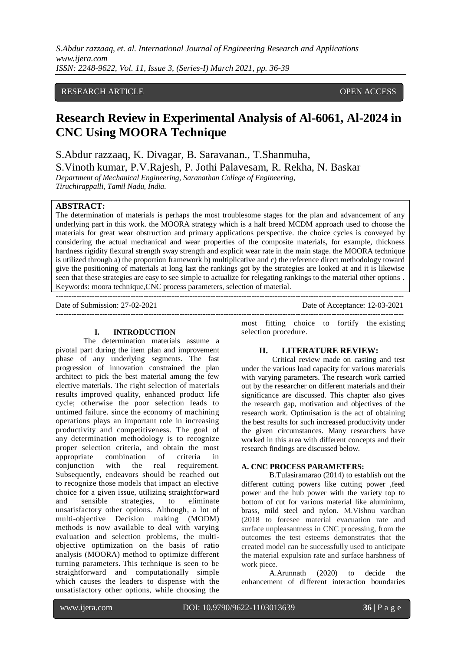*S.Abdur razzaaq, et. al. International Journal of Engineering Research and Applications www.ijera.com ISSN: 2248-9622, Vol. 11, Issue 3, (Series-I) March 2021, pp. 36-39*

# RESEARCH ARTICLE **CONSERVERS** OPEN ACCESS

# **Research Review in Experimental Analysis of Al-6061, Al-2024 in CNC Using MOORA Technique**

S.Abdur razzaaq, K. Divagar, B. Saravanan., T.Shanmuha, S.Vinoth kumar, P.V.Rajesh, P. Jothi Palavesam, R. Rekha, N. Baskar

*Department of Mechanical Engineering, Saranathan College of Engineering, Tiruchirappalli, Tamil Nadu, India.*

## **ABSTRACT:**

The determination of materials is perhaps the most troublesome stages for the plan and advancement of any underlying part in this work. the MOORA strategy which is a half breed MCDM approach used to choose the materials for great wear obstruction and primary applications perspective. the choice cycles is conveyed by considering the actual mechanical and wear properties of the composite materials, for example, thickness hardness rigidity flexural strength sway strength and explicit wear rate in the main stage. the MOORA technique is utilized through a) the proportion framework b) multiplicative and c) the reference direct methodology toward give the positioning of materials at long last the rankings got by the strategies are looked at and it is likewise seen that these strategies are easy to see simple to actualize for relegating rankings to the material other options . Keywords: moora technique,CNC process parameters, selection of material.

Date of Submission: 27-02-2021 Date of Acceptance: 12-03-2021 ---------------------------------------------------------------------------------------------------------------------------------------

### **I. INTRODUCTION**

The determination materials assume a pivotal part during the item plan and improvement phase of any underlying segments. The fast progression of innovation constrained the plan architect to pick the best material among the few elective materials. The right selection of materials results improved quality, enhanced product life cycle; otherwise the poor selection leads to untimed failure. since the economy of machining operations plays an important role in increasing productivity and competitiveness. The goal of any determination methodology is to recognize proper selection criteria, and obtain the most<br>appropriate combination of criteria in appropriate combination of criteria in<br>conjunction with the real requirement. conjunction with the real requirement. Subsequently, endeavors should be reached out to recognize those models that impact an elective choice for a given issue, utilizing straightforward and sensible strategies, to eliminate unsatisfactory other options. Although, a lot of multi-objective Decision making (MODM) methods is now available to deal with varying evaluation and selection problems, the multiobjective optimization on the basis of ratio analysis (MOORA) method to optimize different turning parameters. This technique is seen to be straightforward and computationally simple which causes the leaders to dispense with the unsatisfactory other options, while choosing the

most fitting choice to fortify the existing selection procedure.

# **II. LITERATURE REVIEW:**

 Critical review made on casting and test under the various load capacity for various materials with varying parameters. The research work carried out by the researcher on different materials and their significance are discussed. This chapter also gives the research gap, motivation and objectives of the research work. Optimisation is the act of obtaining the best results for such increased productivity under the given circumstances. Many researchers have worked in this area with different concepts and their research findings are discussed below.

#### **A. CNC PROCESS PARAMETERS:**

B.Tulasiramarao (2014) to establish out the different cutting powers like cutting power ,feed power and the hub power with the variety top to bottom of cut for various material like aluminium, brass, mild steel and nylon. M.Vishnu vardhan (2018 to foresee material evacuation rate and surface unpleasantness in CNC processing, from the outcomes the test esteems demonstrates that the created model can be successfully used to anticipate the material expulsion rate and surface harshness of work piece.

A.Arunnath (2020) to decide the enhancement of different interaction boundaries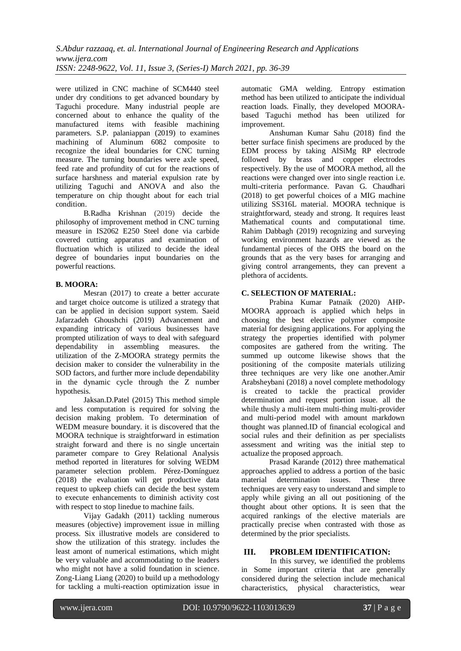were utilized in CNC machine of SCM440 steel under dry conditions to get advanced boundary by Taguchi procedure. Many industrial people are concerned about to enhance the quality of the manufactured items with feasible machining parameters. S.P. palaniappan (2019) to examines machining of Aluminum 6082 composite to recognize the ideal boundaries for CNC turning measure. The turning boundaries were axle speed, feed rate and profundity of cut for the reactions of surface harshness and material expulsion rate by utilizing Taguchi and ANOVA and also the temperature on chip thought about for each trial condition.

B.Radha Krishnan (2019) decide the philosophy of improvement method in CNC turning measure in IS2062 E250 Steel done via carbide covered cutting apparatus and examination of fluctuation which is utilized to decide the ideal degree of boundaries input boundaries on the powerful reactions.

## **B. MOORA:**

Mesran (2017) to create a better accurate and target choice outcome is utilized a strategy that can be applied in decision support system. Saeid Jafarzadeh Ghoushchi (2019) Advancement and expanding intricacy of various businesses have prompted utilization of ways to deal with safeguard dependability in assembling measures. the utilization of the Z-MOORA strategy permits the decision maker to consider the vulnerability in the SOD factors, and further more include dependability in the dynamic cycle through the Z number hypothesis.

Jaksan.D.Patel (2015) This method simple and less computation is required for solving the decision making problem. To determination of WEDM measure boundary. it is discovered that the MOORA technique is straightforward in estimation straight forward and there is no single uncertain parameter compare to Grey Relational Analysis method reported in literatures for solving WEDM parameter selection problem. Pérez-Domínguez (2018) the evaluation will get productive data request to upkeep chiefs can decide the best system to execute enhancements to diminish activity cost with respect to stop linedue to machine fails.

Vijay Gadakh (2011) tackling numerous measures (objective) improvement issue in milling process. Six illustrative models are considered to show the utilization of this strategy. includes the least amont of numerical estimations, which might be very valuable and accommodating to the leaders who might not have a solid foundation in science. Zong-Liang Liang (2020) to build up a methodology for tackling a multi-reaction optimization issue in automatic GMA welding. Entropy estimation method has been utilized to anticipate the individual reaction loads. Finally, they developed MOORAbased Taguchi method has been utilized for improvement.

Anshuman Kumar Sahu (2018) find the better surface finish specimens are produced by the EDM process by taking AlSiMg RP electrode followed by brass and copper electrodes respectively. By the use of MOORA method, all the reactions were changed over into single reaction i.e. multi-criteria performance. Pavan G. Chaudhari (2018) to get powerful choices of a MIG machine utilizing SS316L material. MOORA technique is straightforward, steady and strong. It requires least Mathematical counts and computational time. Rahim Dabbagh (2019) recognizing and surveying working environment hazards are viewed as the fundamental pieces of the OHS the board on the grounds that as the very bases for arranging and giving control arrangements, they can prevent a plethora of accidents.

# **C. SELECTION OF MATERIAL:**

Prabina Kumar Patnaik (2020) AHP-MOORA approach is applied which helps in choosing the best elective polymer composite material for designing applications. For applying the strategy the properties identified with polymer composites are gathered from the writing. The summed up outcome likewise shows that the positioning of the composite materials utilizing three techniques are very like one another.Amir Arabsheybani (2018) a novel complete methodology is created to tackle the practical provider determination and request portion issue. all the while thusly a multi-item multi-thing multi-provider and multi-period model with amount markdown thought was planned.ID of financial ecological and social rules and their definition as per specialists assessment and writing was the initial step to actualize the proposed approach.

Prasad Karande (2012) three mathematical approaches applied to address a portion of the basic material determination issues. These three techniques are very easy to understand and simple to apply while giving an all out positioning of the thought about other options. It is seen that the acquired rankings of the elective materials are practically precise when contrasted with those as determined by the prior specialists.

## **III. PROBLEM IDENTIFICATION:**

 In this survey, we identified the problems in Some important criteria that are generally considered during the selection include mechanical characteristics, physical characteristics, wear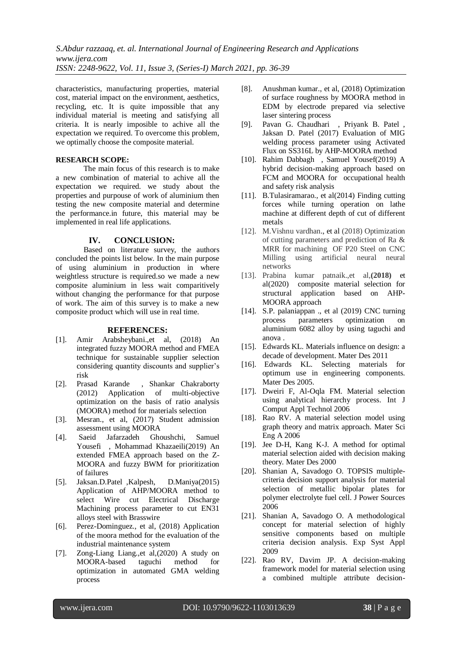*S.Abdur razzaaq, et. al. International Journal of Engineering Research and Applications www.ijera.com ISSN: 2248-9622, Vol. 11, Issue 3, (Series-I) March 2021, pp. 36-39*

characteristics, manufacturing properties, material cost, material impact on the environment, aesthetics, recycling, etc. It is quite impossible that any individual material is meeting and satisfying all criteria. It is nearly imposible to achive all the expectation we required. To overcome this problem, we optimally choose the composite material.

# **RESEARCH SCOPE:**

The main focus of this research is to make a new combination of material to achive all the expectation we required. we study about the properties and purpouse of work of aluminium then testing the new composite material and determine the performance.in future, this material may be implemented in real life applications.

#### **IV. CONCLUSION:**

Based on literature survey, the authors concluded the points list below. In the main purpose of using aluminium in production in where weightless structure is required.so we made a new composite aluminium in less wait comparitively without changing the performance for that purpose of work. The aim of this survey is to make a new composite product which will use in real time.

#### **REFERENCES:**

- [1]. Amir Arabsheybani.,et al, (2018) An integrated fuzzy MOORA method and FMEA technique for sustainable supplier selection considering quantity discounts and supplier's risk
- [2]. Prasad Karande , Shankar Chakraborty (2012) Application of multi-objective optimization on the basis of ratio analysis (MOORA) method for materials selection
- [3]. Mesran., et al, (2017) Student admission assessment using MOORA
- [4]. Saeid Jafarzadeh Ghoushchi, Samuel Yousefi , Mohammad Khazaeili(2019) An extended FMEA approach based on the Z-MOORA and fuzzy BWM for prioritization of failures
- [5]. Jaksan.D.Patel ,Kalpesh, D.Maniya(2015) Application of AHP/MOORA method to select Wire cut Electrical Discharge Machining process parameter to cut EN31 alloys steel with Brasswire
- [6]. Perez-Dominguez., et al, (2018) Application of the moora method for the evaluation of the industrial maintenance system
- [7]. Zong-Liang Liang.,et al,(2020) A study on MOORA-based taguchi method for optimization in automated GMA welding process
- [8]. Anushman kumar., et al, (2018) Optimization of surface roughness by MOORA method in EDM by electrode prepared via selective laser sintering process
- [9]. Pavan G. Chaudhari , Priyank B. Patel , Jaksan D. Patel (2017) Evaluation of MIG welding process parameter using Activated Flux on SS316L by AHP-MOORA method
- [10]. Rahim Dabbagh , Samuel Yousef(2019) A hybrid decision-making approach based on FCM and MOORA for occupational health and safety risk analysis
- [11]. B.Tulasiramarao., et al(2014) Finding cutting forces while turning operation on lathe machine at different depth of cut of different metals
- [12]. M.Vishnu vardhan., et al (2018) Optimization of cutting parameters and prediction of Ra & MRR for machining OF P20 Steel on CNC Milling using artificial neural neural networks
- [13]. Prabina kumar patnaik.,et al,**(2018)** et al(2020) composite material selection for structural application based on AHP-MOORA approach
- [14]. S.P. palaniappan ., et al (2019) CNC turning process parameters optimization on aluminium 6082 alloy by using taguchi and anova .
- [15]. Edwards KL. Materials influence on design: a decade of development. Mater Des 2011
- [16]. Edwards KL. Selecting materials for optimum use in engineering components. Mater Des 2005.
- [17]. Dweiri F, Al-Oqla FM. Material selection using analytical hierarchy process. Int J Comput Appl Technol 2006
- [18]. Rao RV. A material selection model using graph theory and matrix approach. Mater Sci Eng A 2006
- [19]. Jee D-H, Kang K-J. A method for optimal material selection aided with decision making theory. Mater Des 2000
- [20]. Shanian A, Savadogo O. TOPSIS multiplecriteria decision support analysis for material selection of metallic bipolar plates for polymer electrolyte fuel cell. J Power Sources 2006
- [21]. Shanian A, Savadogo O. A methodological concept for material selection of highly sensitive components based on multiple criteria decision analysis. Exp Syst Appl 2009
- [22]. Rao RV, Davim JP. A decision-making framework model for material selection using a combined multiple attribute decision-